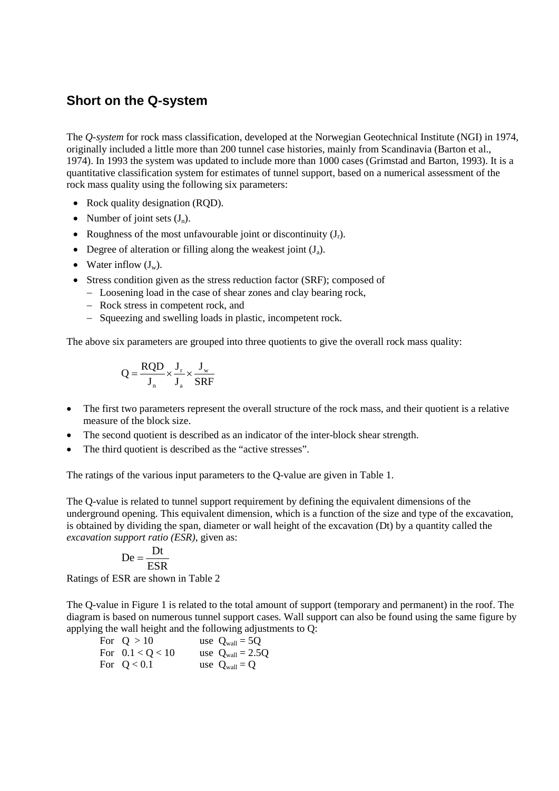## **Short on the Q-system**

The *Q-system* for rock mass classification, developed at the Norwegian Geotechnical Institute (NGI) in 1974, originally included a little more than 200 tunnel case histories, mainly from Scandinavia (Barton et al., 1974). In 1993 the system was updated to include more than 1000 cases (Grimstad and Barton, 1993). It is a quantitative classification system for estimates of tunnel support, based on a numerical assessment of the rock mass quality using the following six parameters:

- Rock quality designation (ROD).
- Number of joint sets  $(J_n)$ .
- Roughness of the most unfavourable joint or discontinuity  $(J_r)$ .
- Degree of alteration or filling along the weakest joint  $(J_a)$ .
- Water inflow  $(J_w)$ .
- Stress condition given as the stress reduction factor (SRF); composed of
	- − Loosening load in the case of shear zones and clay bearing rock,
	- − Rock stress in competent rock, and
	- − Squeezing and swelling loads in plastic, incompetent rock.

The above six parameters are grouped into three quotients to give the overall rock mass quality:

$$
Q = \frac{RQD}{J_n} \times \frac{J_r}{J_a} \times \frac{J_w}{SRF}
$$

- The first two parameters represent the overall structure of the rock mass, and their quotient is a relative measure of the block size.
- The second quotient is described as an indicator of the inter-block shear strength.
- The third quotient is described as the "active stresses".

The ratings of the various input parameters to the Q-value are given in Table 1.

The Q-value is related to tunnel support requirement by defining the equivalent dimensions of the underground opening. This equivalent dimension, which is a function of the size and type of the excavation, is obtained by dividing the span, diameter or wall height of the excavation (Dt) by a quantity called the *excavation support ratio (ESR)*, given as:

$$
De = \frac{Dt}{ESR}
$$

Ratings of ESR are shown in Table 2

The Q-value in Figure 1 is related to the total amount of support (temporary and permanent) in the roof. The diagram is based on numerous tunnel support cases. Wall support can also be found using the same figure by applying the wall height and the following adjustments to Q:

| For $Q > 10$       | use $Q_{wall} = 5Q$          |
|--------------------|------------------------------|
| For $0.1 < Q < 10$ | use $Q_{\text{wall}} = 2.5Q$ |
| For $Q < 0.1$      | use $Q_{wall} = Q$           |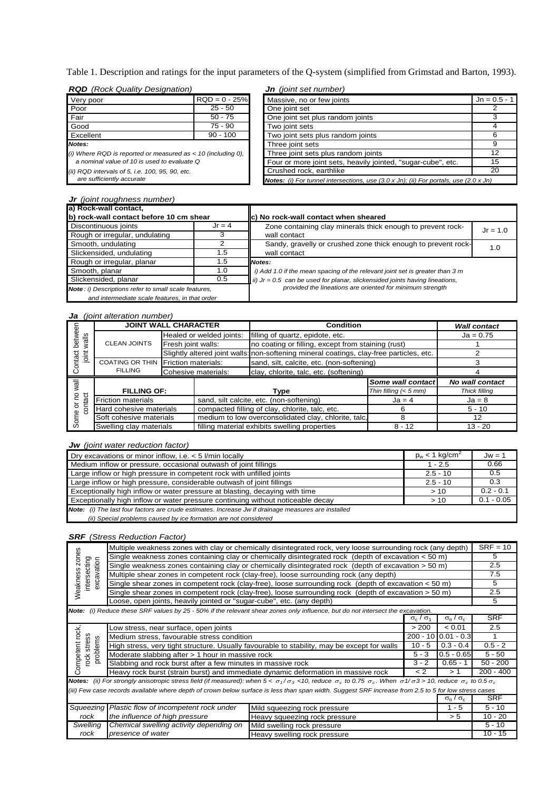Table 1. Description and ratings for the input parameters of the Q-system (simplified from Grimstad and Barton, 1993).

|  | <b>RQD</b> (Rock Quality Designation) |  |
|--|---------------------------------------|--|

| <b>RQD</b> (Rock Quality Designation)                          |                 | <b>Jn</b> (joint set number)                                                                                              |                |
|----------------------------------------------------------------|-----------------|---------------------------------------------------------------------------------------------------------------------------|----------------|
| Very poor                                                      | $RQD = 0 - 25%$ | Massive, no or few joints                                                                                                 | $Jn = 0.5 - 1$ |
| Poor                                                           | $25 - 50$       | One joint set                                                                                                             |                |
| Fair                                                           | $50 - 75$       | One joint set plus random joints                                                                                          | 3              |
| Good                                                           | $75 - 90$       | Two joint sets                                                                                                            | 4              |
| Excellent                                                      | $90 - 100$      | Two joint sets plus random joints                                                                                         | 6              |
| Notes:                                                         |                 | Three joint sets                                                                                                          | 9              |
| (i) Where RQD is reported or measured as $<$ 10 (including 0), |                 | Three joint sets plus random joints                                                                                       | 12             |
| a nominal value of 10 is used to evaluate Q                    |                 | Four or more joint sets, heavily jointed, "sugar-cube", etc.                                                              | 15             |
| (ii) RQD intervals of 5, i.e. 100, 95, 90, etc.                |                 | Crushed rock, earthlike                                                                                                   | 20             |
| are sufficiently accurate                                      |                 | <b>Notes:</b> (i) For tunnel intersections, use $(3.0 \times \text{Jn})$ ; (ii) For portals, use $(2.0 \times \text{Jn})$ |                |

| <b>Jr</b> (joint roughness number)                   |          |                                                                               |            |
|------------------------------------------------------|----------|-------------------------------------------------------------------------------|------------|
| a) Rock-wall contact,                                |          |                                                                               |            |
| b) rock-wall contact before 10 cm shear              |          | c) No rock-wall contact when sheared                                          |            |
| Discontinuous joints                                 | $Jr = 4$ | Zone containing clay minerals thick enough to prevent rock-                   | $Jr = 1.0$ |
| Rough or irregular, undulating                       |          | wall contact                                                                  |            |
| Smooth, undulating                                   |          | Sandy, gravelly or crushed zone thick enough to prevent rock-                 | 1.0        |
| Slickensided, undulating                             | 1.5      | wall contact                                                                  |            |
| Rough or irregular, planar                           | 1.5      | <b>Notes:</b>                                                                 |            |
| Smooth, planar                                       | 1.0      | i) Add 1.0 if the mean spacing of the relevant joint set is greater than 3 m  |            |
| Slickensided, planar<br>0.5                          |          | ii) $Jr = 0.5$ can be used for planar, slickensided joints having lineations, |            |
| Note: i) Descriptions refer to small scale features, |          | provided the lineations are oriented for minimum strength                     |            |
| and intermediate scale features, in that order       |          |                                                                               |            |

## *Ja (joint alteration number)*

|                 | <b>JOINT WALL CHARACTER</b>                                                     |                            | <b>Condition</b>         |                                                                                         | <b>Wall contact</b>     |                        |
|-----------------|---------------------------------------------------------------------------------|----------------------------|--------------------------|-----------------------------------------------------------------------------------------|-------------------------|------------------------|
| betwee<br>walls |                                                                                 |                            | Healed or welded joints: | filling of quartz, epidote, etc.                                                        |                         | $Ja = 0.75$            |
|                 | <b>CLEAN JOINTS</b>                                                             | Fresh joint walls:         |                          | no coating or filling, except from staining (rust)                                      |                         |                        |
| joint<br>ntact  |                                                                                 |                            |                          | Slightly altered joint walls: non-softening mineral coatings, clay-free particles, etc. |                         |                        |
|                 | <b>COATING OR THIN</b>                                                          | <b>Friction materials:</b> |                          | sand, silt, calcite, etc. (non-softening)                                               |                         |                        |
|                 | <b>FILLING</b><br>Cohesive materials:<br>clay, chlorite, talc, etc. (softening) |                            |                          |                                                                                         |                         |                        |
|                 |                                                                                 |                            |                          |                                                                                         |                         |                        |
|                 |                                                                                 |                            |                          |                                                                                         | Some wall contact       | <b>No wall contact</b> |
|                 | <b>FILLING OF:</b>                                                              |                            |                          | Type                                                                                    | Thin filling $(< 5$ mm) | <b>Thick filling</b>   |
| 2               | <b>Friction materials</b>                                                       |                            |                          | sand, silt calcite, etc. (non-softening)                                                | $Ja = 4$                | $Ja = 8$               |
| ১               | Hard cohesive materials                                                         |                            |                          | compacted filling of clay, chlorite, talc, etc.                                         | 6                       | $5 - 10$               |
| contact<br>Some | Soft cohesive materials                                                         |                            |                          | medium to low overconsolidated clay, chlorite, talc.                                    | 8                       | 12                     |

## *Jw (joint water reduction factor)*

| Dry excavations or minor inflow, i.e. $<$ 5 l/min locally                                           | $p_w < 1$ kg/cm <sup>2</sup> | $Jw = 1$     |
|-----------------------------------------------------------------------------------------------------|------------------------------|--------------|
| Medium inflow or pressure, occasional outwash of joint fillings                                     | $1 - 2.5$                    | 0.66         |
| Large inflow or high pressure in competent rock with unfilled joints                                | $2.5 - 10$                   | 0.5          |
| Large inflow or high pressure, considerable outwash of joint fillings                               | $2.5 - 10$                   | 0.3          |
| Exceptionally high inflow or water pressure at blasting, decaying with time                         | >10                          | $0.2 - 0.1$  |
| Exceptionally high inflow or water pressure continuing without noticeable decay                     | >10                          | $0.1 - 0.05$ |
| Note: (i) The last four factors are crude estimates. Increase Jw if drainage measures are installed |                              |              |
| (ii) Special problems caused by ice formation are not considered                                    |                              |              |

## *SRF (Stress Reduction Factor)*

|                                                                                                                                                                                                                            |                                                                                                                               | Multiple weakness zones with clay or chemically disintegrated rock, very loose surrounding rock (any depth)                    |                     |                                       | $SRF = 10$ |
|----------------------------------------------------------------------------------------------------------------------------------------------------------------------------------------------------------------------------|-------------------------------------------------------------------------------------------------------------------------------|--------------------------------------------------------------------------------------------------------------------------------|---------------------|---------------------------------------|------------|
| zones                                                                                                                                                                                                                      | Single weakness zones containing clay or chemically disintegrated rock (depth of excavation < 50 m)                           |                                                                                                                                |                     |                                       |            |
|                                                                                                                                                                                                                            | Single weakness zones containing clay or chemically disintegrated rock (depth of excavation > 50 m)                           |                                                                                                                                |                     |                                       |            |
| Neakness                                                                                                                                                                                                                   | intersecting<br>noitsv.sxc<br>Multiple shear zones in competent rock (clay-free), loose surrounding rock (any depth)          |                                                                                                                                |                     |                                       | 2.5<br>7.5 |
|                                                                                                                                                                                                                            |                                                                                                                               | Single shear zones in competent rock (clay-free), loose surrounding rock (depth of excavation < 50 m)                          |                     |                                       | 5          |
|                                                                                                                                                                                                                            |                                                                                                                               | Single shear zones in competent rock (clay-free), loose surrounding rock (depth of excavation > 50 m)                          |                     |                                       | 2.5        |
|                                                                                                                                                                                                                            | Loose, open joints, heavily jointed or "sugar-cube", etc. (any depth)                                                         |                                                                                                                                |                     |                                       | 5          |
|                                                                                                                                                                                                                            |                                                                                                                               | Note: (i) Reduce these SRF values by 25 - 50% if the relevant shear zones only influence, but do not intersect the excavation. |                     |                                       |            |
|                                                                                                                                                                                                                            |                                                                                                                               |                                                                                                                                | $\sigma_c/\sigma_1$ | $\sigma_{\theta}$ / $\sigma_{\alpha}$ | <b>SRF</b> |
|                                                                                                                                                                                                                            | Low stress, near surface, open joints                                                                                         |                                                                                                                                | > 200               | < 0.01                                | 2.5        |
|                                                                                                                                                                                                                            | Medium stress, favourable stress condition                                                                                    |                                                                                                                                |                     | 200 - 10 0.01 - 0.3                   |            |
|                                                                                                                                                                                                                            | Competent rock,<br>rock stress<br>High stress, very tight structure. Usually favourable to stability, may be except for walls |                                                                                                                                |                     | $0.3 - 0.4$                           | $0.5 - 2$  |
|                                                                                                                                                                                                                            | problems<br>$5 - 3$<br>Moderate slabbing after > 1 hour in massive rock                                                       |                                                                                                                                |                     | $0.5 - 0.65$                          | $5 - 50$   |
|                                                                                                                                                                                                                            | $3 - 2$<br>Slabbing and rock burst after a few minutes in massive rock                                                        |                                                                                                                                | $0.65 - 1$          | $50 - 200$                            |            |
|                                                                                                                                                                                                                            | < 2<br>Heavy rock burst (strain burst) and immediate dynamic deformation in massive rock                                      |                                                                                                                                | >1                  | $200 - 400$                           |            |
| <b>Notes:</b> (ii) For strongly anisotropic stress field (if measured): when $5 < \sigma_1/\sigma_3 < 10$ , reduce $\sigma_c$ to 0.75 $\sigma_c$ . When $\sigma$ 1/ $\sigma$ 3 > 10, reduce $\sigma_c$ to 0.5 $\sigma_c$ . |                                                                                                                               |                                                                                                                                |                     |                                       |            |
| (iii) Few case records available where depth of crown below surface is less than span width. Suggest SRF increase from 2.5 to 5 for low stress cases                                                                       |                                                                                                                               |                                                                                                                                |                     |                                       |            |
|                                                                                                                                                                                                                            | $\sigma_{\theta}$ / $\sigma_{\alpha}$                                                                                         |                                                                                                                                |                     | <b>SRF</b>                            |            |
| Squeezing<br>Plastic flow of incompetent rock under<br>Mild squeezing rock pressure                                                                                                                                        |                                                                                                                               | $1 - 5$                                                                                                                        | $5 - 10$            |                                       |            |
| rock                                                                                                                                                                                                                       | the influence of high pressure<br>Heavy squeezing rock pressure                                                               |                                                                                                                                | > 5                 | $10 - 20$                             |            |
| Swelling                                                                                                                                                                                                                   | Chemical swelling activity depending on<br>Mild swelling rock pressure                                                        |                                                                                                                                |                     | $5 - 10$                              |            |
| rock                                                                                                                                                                                                                       | presence of water<br>Heavy swelling rock pressure                                                                             |                                                                                                                                |                     | $10 - 15$                             |            |